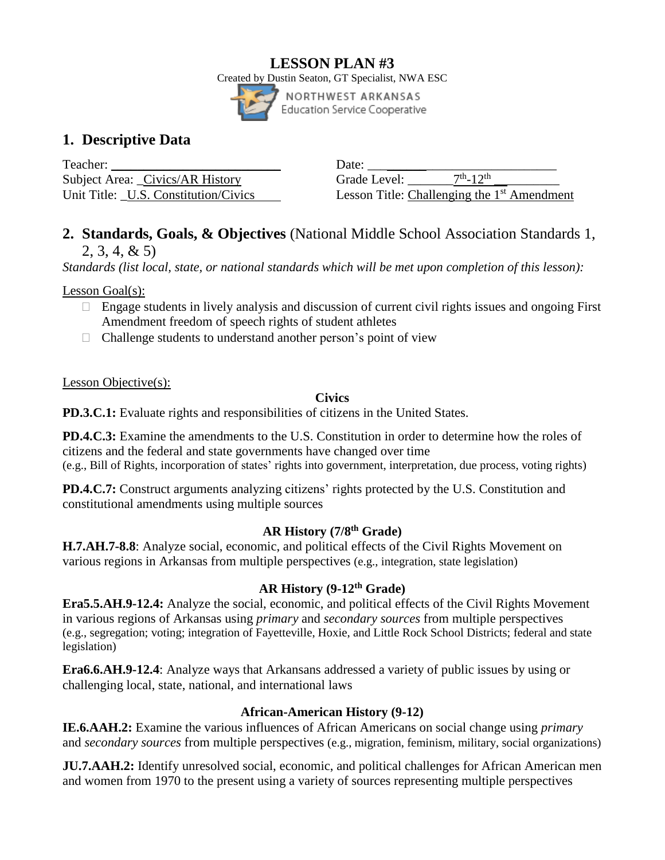### **LESSON PLAN #3** Created by Dustin Seaton, GT Specialist, NWA ESC NORTHWEST ARKANSAS



# **1. Descriptive Data**

Teacher: \_\_\_\_\_\_\_\_\_\_\_\_\_\_\_\_\_\_\_\_\_\_\_\_\_\_ Date: \_\_\_\_\_\_\_\_\_\_\_\_\_\_\_\_\_\_\_\_\_\_\_\_\_\_\_\_\_ Subject Area: Civics/AR History Grade Level: Unit Title: U.S. Constitution/Civics

 $\frac{\text{th}}{12}$ th \_\_\_\_\_\_\_\_\_\_ Lesson Title: Challenging the 1<sup>st</sup> Amendment

## **2. Standards, Goals, & Objectives** (National Middle School Association Standards 1, 2, 3, 4, & 5)

*Standards (list local, state, or national standards which will be met upon completion of this lesson):*

Lesson Goal(s):

- $\Box$  Engage students in lively analysis and discussion of current civil rights issues and ongoing First Amendment freedom of speech rights of student athletes
- $\Box$  Challenge students to understand another person's point of view

Lesson Objective(s):

## **Civics**

**PD.3.C.1:** Evaluate rights and responsibilities of citizens in the United States.

**PD.4.C.3:** Examine the amendments to the U.S. Constitution in order to determine how the roles of citizens and the federal and state governments have changed over time (e.g., Bill of Rights, incorporation of states' rights into government, interpretation, due process, voting rights)

**PD.4.C.7:** Construct arguments analyzing citizens' rights protected by the U.S. Constitution and constitutional amendments using multiple sources

## **AR History (7/8th Grade)**

**H.7.AH.7-8.8**: Analyze social, economic, and political effects of the Civil Rights Movement on various regions in Arkansas from multiple perspectives (e.g., integration, state legislation)

## **AR History (9-12th Grade)**

**Era5.5.AH.9-12.4:** Analyze the social, economic, and political effects of the Civil Rights Movement in various regions of Arkansas using *primary* and *secondary sources* from multiple perspectives (e.g., segregation; voting; integration of Fayetteville, Hoxie, and Little Rock School Districts; federal and state legislation)

**Era6.6.AH.9-12.4**: Analyze ways that Arkansans addressed a variety of public issues by using or challenging local, state, national, and international laws

## **African-American History (9-12)**

**IE.6.AAH.2:** Examine the various influences of African Americans on social change using *primary* and *secondary sources* from multiple perspectives (e.g., migration, feminism, military, social organizations)

**JU.7.AAH.2:** Identify unresolved social, economic, and political challenges for African American men and women from 1970 to the present using a variety of sources representing multiple perspectives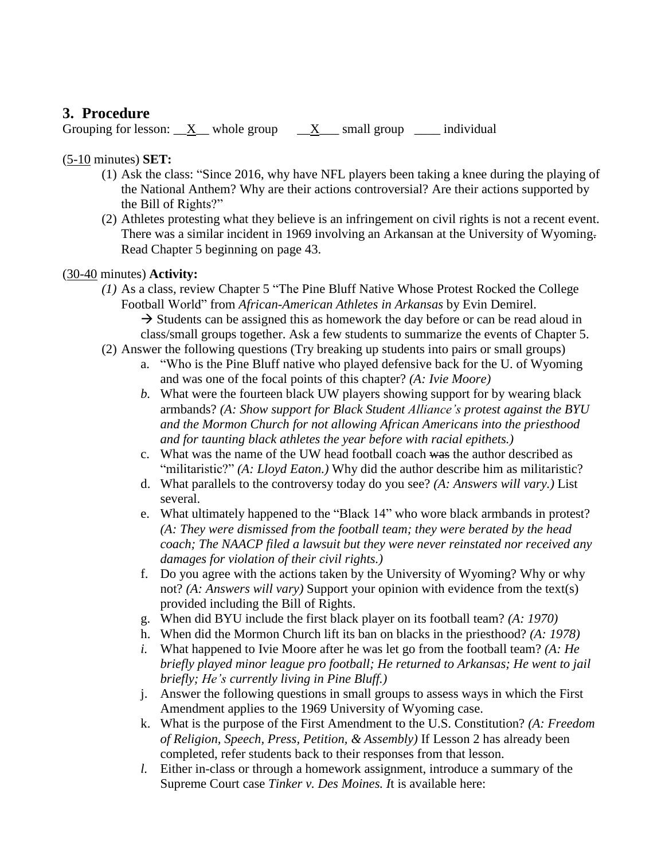## **3. Procedure**

Grouping for lesson:  $X$  whole group  $X$  small group  $\Box$  individual

### (5-10 minutes) **SET:**

- (1) Ask the class: "Since 2016, why have NFL players been taking a knee during the playing of the National Anthem? Why are their actions controversial? Are their actions supported by the Bill of Rights?"
- (2) Athletes protesting what they believe is an infringement on civil rights is not a recent event. There was a similar incident in 1969 involving an Arkansan at the University of Wyoming. Read Chapter 5 beginning on page 43.

### (30-40 minutes) **Activity:**

- *(1)* As a class, review Chapter 5 "The Pine Bluff Native Whose Protest Rocked the College Football World" from *African-American Athletes in Arkansas* by Evin Demirel.  $\rightarrow$  Students can be assigned this as homework the day before or can be read aloud in class/small groups together. Ask a few students to summarize the events of Chapter 5.
- (2) Answer the following questions (Try breaking up students into pairs or small groups)
	- a. "Who is the Pine Bluff native who played defensive back for the U. of Wyoming and was one of the focal points of this chapter? *(A: Ivie Moore)*
	- *b.* What were the fourteen black UW players showing support for by wearing black armbands? *(A: Show support for Black Student Alliance's protest against the BYU and the Mormon Church for not allowing African Americans into the priesthood and for taunting black athletes the year before with racial epithets.)*
	- c. What was the name of the UW head football coach was the author described as "militaristic?" *(A: Lloyd Eaton.)* Why did the author describe him as militaristic?
	- d. What parallels to the controversy today do you see? *(A: Answers will vary.)* List several.
	- e. What ultimately happened to the "Black 14" who wore black armbands in protest? *(A: They were dismissed from the football team; they were berated by the head coach; The NAACP filed a lawsuit but they were never reinstated nor received any damages for violation of their civil rights.)*
	- f. Do you agree with the actions taken by the University of Wyoming? Why or why not? *(A: Answers will vary)* Support your opinion with evidence from the text(s) provided including the Bill of Rights.
	- g. When did BYU include the first black player on its football team? *(A: 1970)*
	- h. When did the Mormon Church lift its ban on blacks in the priesthood? *(A: 1978)*
	- *i.* What happened to Ivie Moore after he was let go from the football team? *(A: He briefly played minor league pro football; He returned to Arkansas; He went to jail briefly; He's currently living in Pine Bluff.)*
	- j. Answer the following questions in small groups to assess ways in which the First Amendment applies to the 1969 University of Wyoming case.
	- k. What is the purpose of the First Amendment to the U.S. Constitution? *(A: Freedom of Religion, Speech, Press, Petition, & Assembly)* If Lesson 2 has already been completed, refer students back to their responses from that lesson.
	- *l.* Either in-class or through a homework assignment, introduce a summary of the Supreme Court case *Tinker v. Des Moines. I*t is available here: